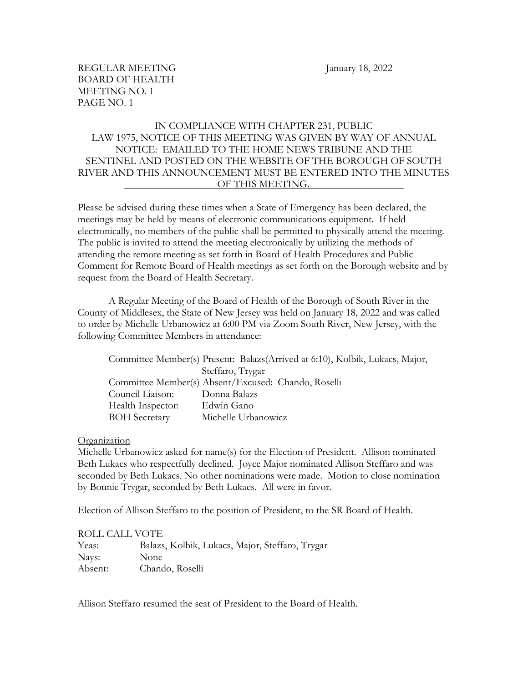# IN COMPLIANCE WITH CHAPTER 231, PUBLIC LAW 1975, NOTICE OF THIS MEETING WAS GIVEN BY WAY OF ANNUAL NOTICE: EMAILED TO THE HOME NEWS TRIBUNE AND THE SENTINEL AND POSTED ON THE WEBSITE OF THE BOROUGH OF SOUTH RIVER AND THIS ANNOUNCEMENT MUST BE ENTERED INTO THE MINUTES OF THIS MEETING.

Please be advised during these times when a State of Emergency has been declared, the meetings may be held by means of electronic communications equipment. If held electronically, no members of the public shall be permitted to physically attend the meeting. The public is invited to attend the meeting electronically by utilizing the methods of attending the remote meeting as set forth in Board of Health Procedures and Public Comment for Remote Board of Health meetings as set forth on the Borough website and by request from the Board of Health Secretary.

A Regular Meeting of the Board of Health of the Borough of South River in the County of Middlesex, the State of New Jersey was held on January 18, 2022 and was called to order by Michelle Urbanowicz at 6:00 PM via Zoom South River, New Jersey, with the following Committee Members in attendance:

Committee Member(s) Present: Balazs(Arrived at 6:10), Kolbik, Lukacs, Major, Steffaro, Trygar Committee Member(s) Absent/Excused: Chando, Roselli Council Liaison: Donna Balazs Health Inspector: Edwin Gano BOH Secretary Michelle Urbanowicz

# **Organization**

Michelle Urbanowicz asked for name(s) for the Election of President. Allison nominated Beth Lukacs who respectfully declined. Joyce Major nominated Allison Steffaro and was seconded by Beth Lukacs. No other nominations were made. Motion to close nomination by Bonnie Trygar, seconded by Beth Lukacs. All were in favor.

Election of Allison Steffaro to the position of President, to the SR Board of Health.

#### ROLL CALL VOTE

| Yeas:   | Balazs, Kolbik, Lukacs, Major, Steffaro, Trygar |
|---------|-------------------------------------------------|
| Nays:   | <b>None</b>                                     |
| Absent: | Chando, Roselli                                 |

Allison Steffaro resumed the seat of President to the Board of Health.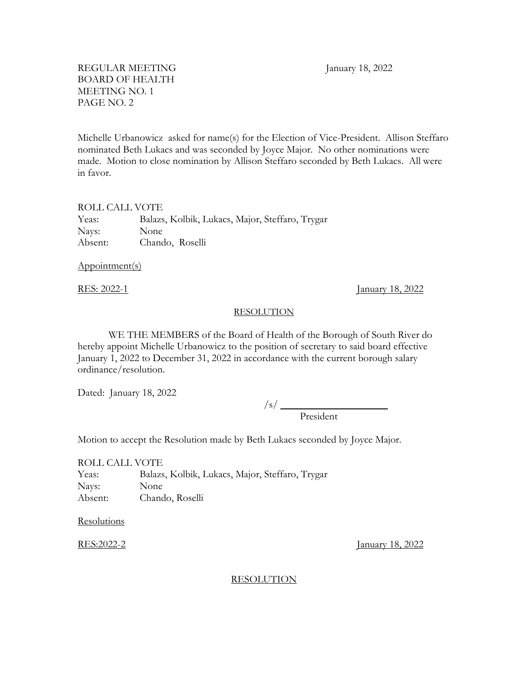Michelle Urbanowicz asked for name(s) for the Election of Vice-President. Allison Steffaro nominated Beth Lukacs and was seconded by Joyce Major. No other nominations were made. Motion to close nomination by Allison Steffaro seconded by Beth Lukacs. All were in favor.

## ROLL CALL VOTE

Yeas: Balazs, Kolbik, Lukacs, Major, Steffaro, Trygar Nays: None Absent: Chando, Roselli

Appointment(s)

RES: 2022-1 January 18, 2022

### RESOLUTION

WE THE MEMBERS of the Board of Health of the Borough of South River do hereby appoint Michelle Urbanowicz to the position of secretary to said board effective January 1, 2022 to December 31, 2022 in accordance with the current borough salary ordinance/resolution.

Dated: January 18, 2022

/s/ President

Motion to accept the Resolution made by Beth Lukacs seconded by Joyce Major.

ROLL CALL VOTE Yeas: Balazs, Kolbik, Lukacs, Major, Steffaro, Trygar Nays: None Absent: Chando, Roselli

**Resolutions** 

RES:2022-2 January 18, 2022

## RESOLUTION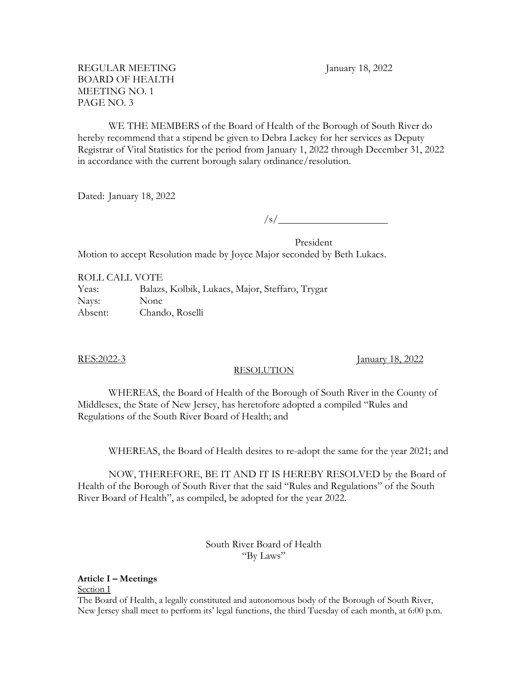WE THE MEMBERS of the Board of Health of the Borough of South River do hereby recommend that a stipend be given to Debra Lackey for her services as Deputy Registrar of Vital Statistics for the period from January 1, 2022 through December 31, 2022 in accordance with the current borough salary ordinance/resolution.

Dated: January 18, 2022

 $\sqrt{s/2}$ 

President Motion to accept Resolution made by Joyce Major seconded by Beth Lukacs.

ROLL CALL VOTE Yeas: Balazs, Kolbik, Lukacs, Major, Steffaro, Trygar Nays: None Absent: Chando, Roselli

# RESOLUTION

RES:2022-3 January 18, 2022

WHEREAS, the Board of Health of the Borough of South River in the County of Middlesex, the State of New Jersey, has heretofore adopted a compiled "Rules and Regulations of the South River Board of Health; and

WHEREAS, the Board of Health desires to re-adopt the same for the year 2021; and

NOW, THEREFORE, BE IT AND IT IS HEREBY RESOLVED by the Board of Health of the Borough of South River that the said "Rules and Regulations" of the South River Board of Health", as compiled, be adopted for the year 2022.

## South River Board of Health "By Laws"

**Article I – Meetings**

Section I

The Board of Health, a legally constituted and autonomous body of the Borough of South River, New Jersey shall meet to perform its' legal functions, the third Tuesday of each month, at 6:00 p.m.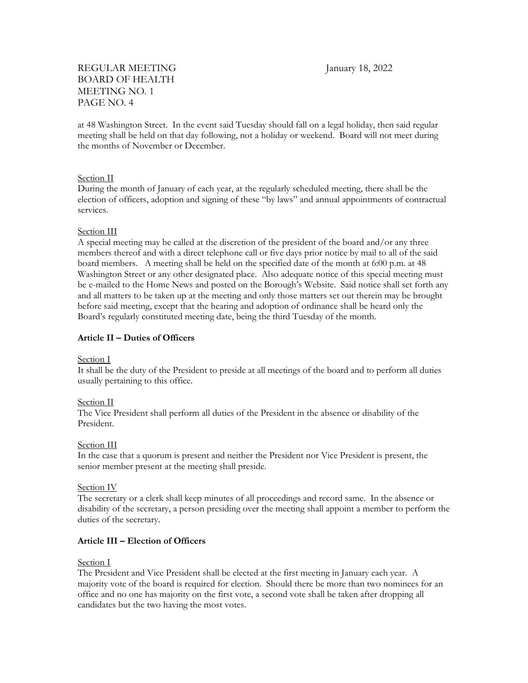at 48 Washington Street. In the event said Tuesday should fall on a legal holiday, then said regular meeting shall be held on that day following, not a holiday or weekend. Board will not meet during the months of November or December.

## Section II

During the month of January of each year, at the regularly scheduled meeting, there shall be the election of officers, adoption and signing of these "by laws" and annual appointments of contractual services.

## Section III

A special meeting may be called at the discretion of the president of the board and/or any three members thereof and with a direct telephone call or five days prior notice by mail to all of the said board members. A meeting shall be held on the specified date of the month at  $6:00$  p.m. at 48 Washington Street or any other designated place. Also adequate notice of this special meeting must be e-mailed to the Home News and posted on the Borough's Website. Said notice shall set forth any and all matters to be taken up at the meeting and only those matters set out therein may be brought before said meeting, except that the hearing and adoption of ordinance shall be heard only the Board's regularly constituted meeting date, being the third Tuesday of the month.

## **Article II – Duties of Officers**

## Section I

It shall be the duty of the President to preside at all meetings of the board and to perform all duties usually pertaining to this office.

## Section II

The Vice President shall perform all duties of the President in the absence or disability of the President.

## Section III

In the case that a quorum is present and neither the President nor Vice President is present, the senior member present at the meeting shall preside.

## Section IV

The secretary or a clerk shall keep minutes of all proceedings and record same. In the absence or disability of the secretary, a person presiding over the meeting shall appoint a member to perform the duties of the secretary.

## **Article III – Election of Officers**

## Section I

The President and Vice President shall be elected at the first meeting in January each year. A majority vote of the board is required for election. Should there be more than two nominees for an office and no one has majority on the first vote, a second vote shall be taken after dropping all candidates but the two having the most votes.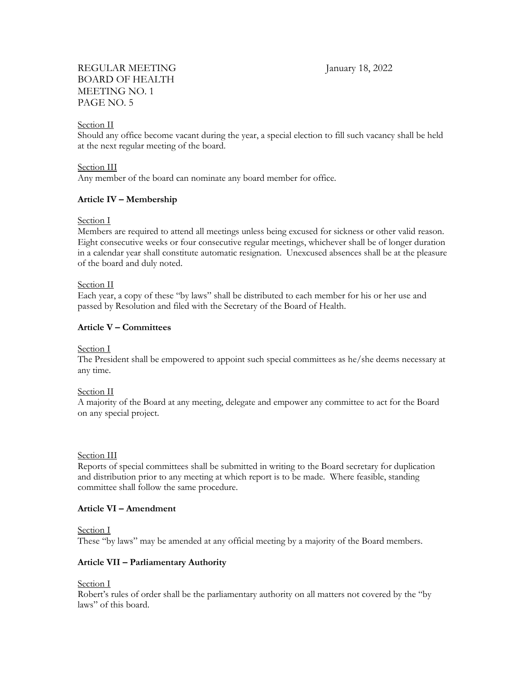## Section II

Should any office become vacant during the year, a special election to fill such vacancy shall be held at the next regular meeting of the board.

## Section III

Any member of the board can nominate any board member for office.

## **Article IV – Membership**

Section I

Members are required to attend all meetings unless being excused for sickness or other valid reason. Eight consecutive weeks or four consecutive regular meetings, whichever shall be of longer duration in a calendar year shall constitute automatic resignation. Unexcused absences shall be at the pleasure of the board and duly noted.

## Section II

Each year, a copy of these "by laws" shall be distributed to each member for his or her use and passed by Resolution and filed with the Secretary of the Board of Health.

## **Article V – Committees**

## Section I

The President shall be empowered to appoint such special committees as he/she deems necessary at any time.

### Section II

A majority of the Board at any meeting, delegate and empower any committee to act for the Board on any special project.

### Section III

Reports of special committees shall be submitted in writing to the Board secretary for duplication and distribution prior to any meeting at which report is to be made. Where feasible, standing committee shall follow the same procedure.

## **Article VI – Amendment**

### Section I

These "by laws" may be amended at any official meeting by a majority of the Board members.

## **Article VII – Parliamentary Authority**

## Section I

Robert's rules of order shall be the parliamentary authority on all matters not covered by the "by laws" of this board.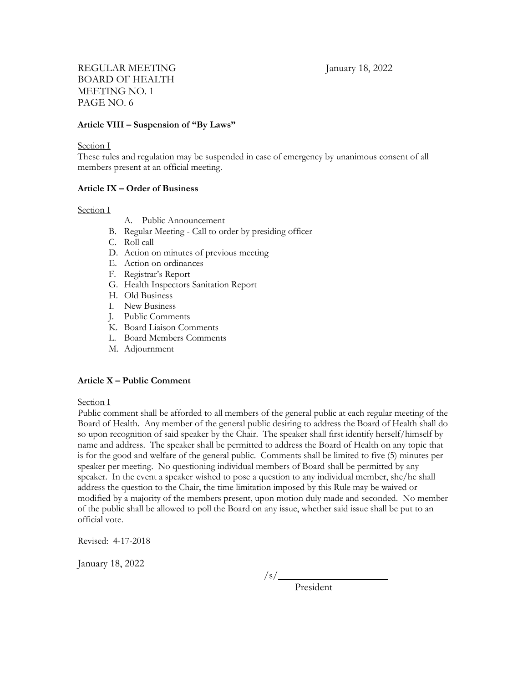### **Article VIII – Suspension of "By Laws"**

#### Section I

These rules and regulation may be suspended in case of emergency by unanimous consent of all members present at an official meeting.

#### **Article IX – Order of Business**

#### Section I

- A. Public Announcement
- B. Regular Meeting Call to order by presiding officer
- C. Roll call
- D. Action on minutes of previous meeting
- E. Action on ordinances
- F. Registrar's Report
- G. Health Inspectors Sanitation Report
- H. Old Business
- I. New Business
- J. Public Comments
- K. Board Liaison Comments
- L. Board Members Comments
- M. Adjournment

#### **Article X – Public Comment**

Section I

Public comment shall be afforded to all members of the general public at each regular meeting of the Board of Health. Any member of the general public desiring to address the Board of Health shall do so upon recognition of said speaker by the Chair. The speaker shall first identify herself/himself by name and address. The speaker shall be permitted to address the Board of Health on any topic that is for the good and welfare of the general public. Comments shall be limited to five (5) minutes per speaker per meeting. No questioning individual members of Board shall be permitted by any speaker. In the event a speaker wished to pose a question to any individual member, she/he shall address the question to the Chair, the time limitation imposed by this Rule may be waived or modified by a majority of the members present, upon motion duly made and seconded. No member of the public shall be allowed to poll the Board on any issue, whether said issue shall be put to an official vote.

Revised: 4-17-2018

January 18, 2022

/s/

President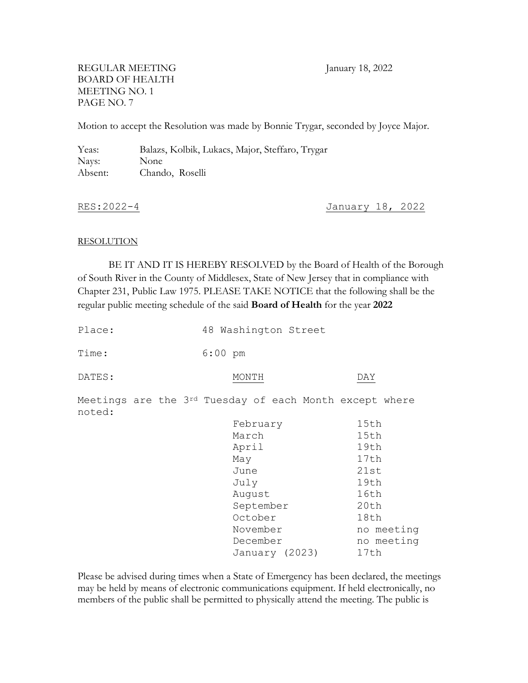Motion to accept the Resolution was made by Bonnie Trygar, seconded by Joyce Major.

Yeas: Balazs, Kolbik, Lukacs, Major, Steffaro, Trygar Nays: None Absent: Chando, Roselli

RES:2022-4 January 18, 2022

### RESOLUTION

BE IT AND IT IS HEREBY RESOLVED by the Board of Health of the Borough of South River in the County of Middlesex, State of New Jersey that in compliance with Chapter 231, Public Law 1975. PLEASE TAKE NOTICE that the following shall be the regular public meeting schedule of the said **Board of Health** for the year **2022**

| Place:                                                            | 48 Washington Street |  |       |                                      |        |          |                |  |      |            |  |  |
|-------------------------------------------------------------------|----------------------|--|-------|--------------------------------------|--------|----------|----------------|--|------|------------|--|--|
| Time:                                                             |                      |  |       | $6:00$ pm                            |        |          |                |  |      |            |  |  |
| DATES:                                                            |                      |  | MONTH |                                      |        |          | DAY            |  |      |            |  |  |
| Meetings are the 3rd Tuesday of each Month except where<br>noted: |                      |  |       |                                      |        |          |                |  |      |            |  |  |
|                                                                   |                      |  |       |                                      |        | February |                |  |      | 15th       |  |  |
|                                                                   |                      |  |       |                                      | March  | 15th     |                |  |      |            |  |  |
|                                                                   |                      |  |       | April                                |        |          |                |  | 19th |            |  |  |
|                                                                   |                      |  |       |                                      | May    | 17th     |                |  |      |            |  |  |
|                                                                   |                      |  |       |                                      | June   | 21st     |                |  |      |            |  |  |
|                                                                   |                      |  |       |                                      | July   | 19th     |                |  |      |            |  |  |
|                                                                   |                      |  |       |                                      | August |          | 16th           |  |      |            |  |  |
|                                                                   |                      |  |       | 20th<br>September<br>October<br>18th |        |          |                |  |      |            |  |  |
|                                                                   |                      |  |       |                                      |        |          |                |  |      |            |  |  |
|                                                                   |                      |  |       | November                             |        |          |                |  |      | no meeting |  |  |
|                                                                   |                      |  |       | December                             |        |          |                |  |      | no meeting |  |  |
|                                                                   |                      |  |       |                                      |        |          | January (2023) |  | 17th |            |  |  |
|                                                                   |                      |  |       |                                      |        |          |                |  |      |            |  |  |

Please be advised during times when a State of Emergency has been declared, the meetings may be held by means of electronic communications equipment. If held electronically, no members of the public shall be permitted to physically attend the meeting. The public is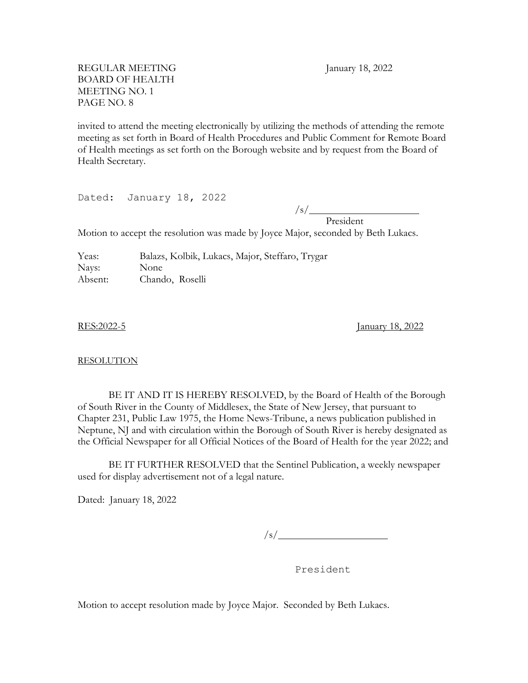invited to attend the meeting electronically by utilizing the methods of attending the remote meeting as set forth in Board of Health Procedures and Public Comment for Remote Board of Health meetings as set forth on the Borough website and by request from the Board of Health Secretary.

Dated: January 18, 2022

/s/

President Motion to accept the resolution was made by Joyce Major, seconded by Beth Lukacs.

Yeas: Balazs, Kolbik, Lukacs, Major, Steffaro, Trygar Nays: None Absent: Chando, Roselli

RES:2022-5 January 18, 2022

#### RESOLUTION

BE IT AND IT IS HEREBY RESOLVED, by the Board of Health of the Borough of South River in the County of Middlesex, the State of New Jersey, that pursuant to Chapter 231, Public Law 1975, the Home News-Tribune, a news publication published in Neptune, NJ and with circulation within the Borough of South River is hereby designated as the Official Newspaper for all Official Notices of the Board of Health for the year 2022; and

BE IT FURTHER RESOLVED that the Sentinel Publication, a weekly newspaper used for display advertisement not of a legal nature.

Dated: January 18, 2022

 $\frac{1}{s}$ /s/

President

Motion to accept resolution made by Joyce Major. Seconded by Beth Lukacs.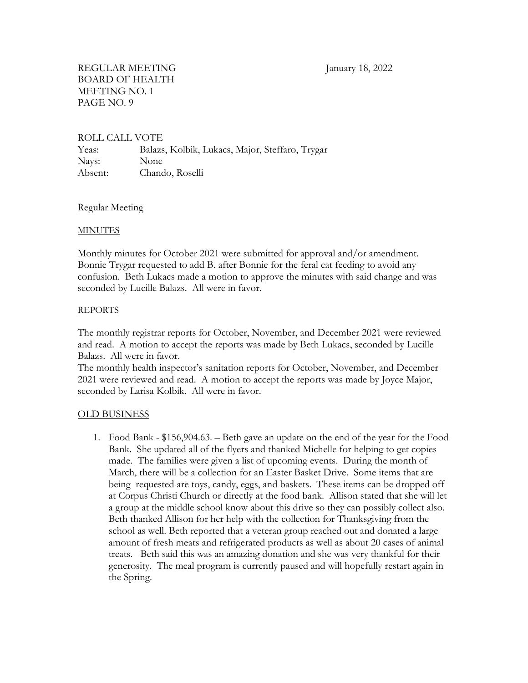## ROLL CALL VOTE

Yeas: Balazs, Kolbik, Lukacs, Major, Steffaro, Trygar Nays: None Absent: Chando, Roselli

## Regular Meeting

## MINUTES

Monthly minutes for October 2021 were submitted for approval and/or amendment. Bonnie Trygar requested to add B. after Bonnie for the feral cat feeding to avoid any confusion. Beth Lukacs made a motion to approve the minutes with said change and was seconded by Lucille Balazs. All were in favor.

## REPORTS

The monthly registrar reports for October, November, and December 2021 were reviewed and read. A motion to accept the reports was made by Beth Lukacs, seconded by Lucille Balazs. All were in favor.

The monthly health inspector's sanitation reports for October, November, and December 2021 were reviewed and read. A motion to accept the reports was made by Joyce Major, seconded by Larisa Kolbik. All were in favor.

## OLD BUSINESS

1. Food Bank - \$156,904.63. – Beth gave an update on the end of the year for the Food Bank. She updated all of the flyers and thanked Michelle for helping to get copies made. The families were given a list of upcoming events. During the month of March, there will be a collection for an Easter Basket Drive. Some items that are being requested are toys, candy, eggs, and baskets. These items can be dropped off at Corpus Christi Church or directly at the food bank. Allison stated that she will let a group at the middle school know about this drive so they can possibly collect also. Beth thanked Allison for her help with the collection for Thanksgiving from the school as well. Beth reported that a veteran group reached out and donated a large amount of fresh meats and refrigerated products as well as about 20 cases of animal treats. Beth said this was an amazing donation and she was very thankful for their generosity. The meal program is currently paused and will hopefully restart again in the Spring.